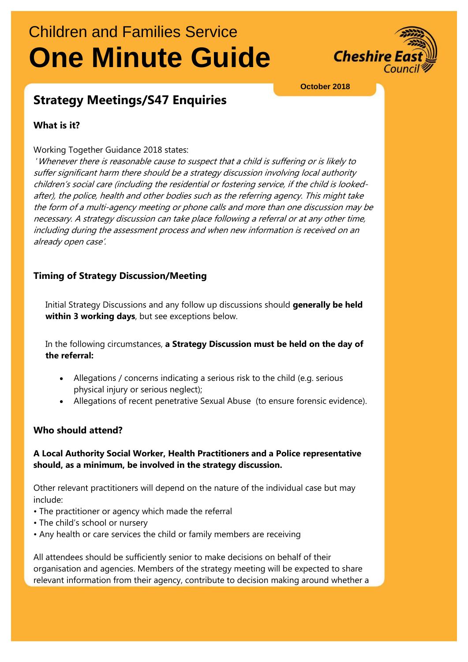# Children and Families Service **One Minute Guide**



#### **October 2018**

# **Strategy Meetings/S47 Enquiries**

### **What is it?**

#### Working Together Guidance 2018 states:

'Whenever there is reasonable cause to suspect that a child is suffering or is likely to suffer significant harm there should be a strategy discussion involving local authority children's social care (including the residential or fostering service, if the child is lookedafter), the police, health and other bodies such as the referring agency. This might take the form of a multi-agency meeting or phone calls and more than one discussion may be necessary. A strategy discussion can take place following a referral or at any other time, including during the assessment process and when new information is received on an already open case'.

### **Timing of Strategy Discussion/Meeting**

Initial Strategy Discussions and any follow up discussions should **generally be held within 3 working days**, but see exceptions below.

In the following circumstances, **a Strategy Discussion must be held on the day of the referral:**

- Allegations / concerns indicating a serious risk to the child (e.g. serious physical injury or serious neglect);
- Allegations of recent penetrative Sexual Abuse (to ensure forensic evidence).

### **Who should attend?**

### **A Local Authority Social Worker, Health Practitioners and a Police representative should, as a minimum, be involved in the strategy discussion.**

Other relevant practitioners will depend on the nature of the individual case but may include:

- The practitioner or agency which made the referral
- The child's school or nursery
- Any health or care services the child or family members are receiving

All attendees should be sufficiently senior to make decisions on behalf of their organisation and agencies. Members of the strategy meeting will be expected to share relevant information from their agency, contribute to decision making around whether a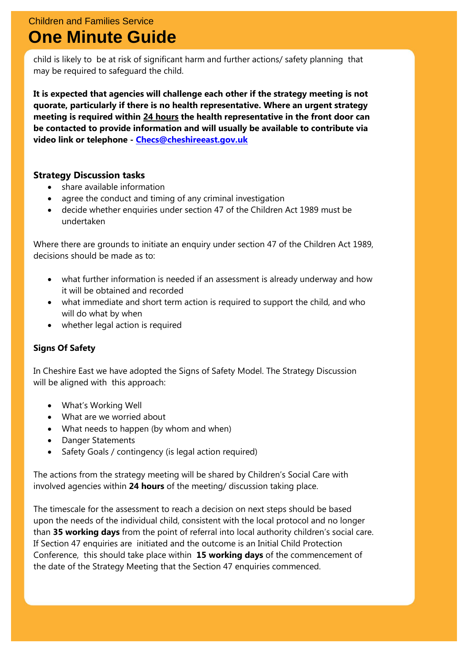# Children and Families Service **One Minute Guide**

child is likely to be at risk of significant harm and further actions/ safety planning that may be required to safeguard the child.

**It is expected that agencies will challenge each other if the strategy meeting is not quorate, particularly if there is no health representative. Where an urgent strategy meeting is required within 24 hours the health representative in the front door can be contacted to provide information and will usually be available to contribute via video link or telephone - [Checs@cheshireeast.gov.uk](mailto:Checs@cheshireeast.gov.uk)**

### **Strategy Discussion tasks**

- share available information
- agree the conduct and timing of any criminal investigation
- decide whether enquiries under section 47 of the Children Act 1989 must be undertaken

Where there are grounds to initiate an enquiry under section 47 of the Children Act 1989, decisions should be made as to:

- what further information is needed if an assessment is already underway and how it will be obtained and recorded
- what immediate and short term action is required to support the child, and who will do what by when
- whether legal action is required

### **Signs Of Safety**

In Cheshire East we have adopted the Signs of Safety Model. The Strategy Discussion will be aligned with this approach:

- What's Working Well
- What are we worried about
- What needs to happen (by whom and when)
- Danger Statements
- Safety Goals / contingency (is legal action required)

The actions from the strategy meeting will be shared by Children's Social Care with involved agencies within **24 hours** of the meeting/ discussion taking place.

The timescale for the assessment to reach a decision on next steps should be based upon the needs of the individual child, consistent with the local protocol and no longer than **35 working days** from the point of referral into local authority children's social care. If Section 47 enquiries are initiated and the outcome is an Initial Child Protection Conference, this should take place within **15 working days** of the commencement of the date of the Strategy Meeting that the Section 47 enquiries commenced.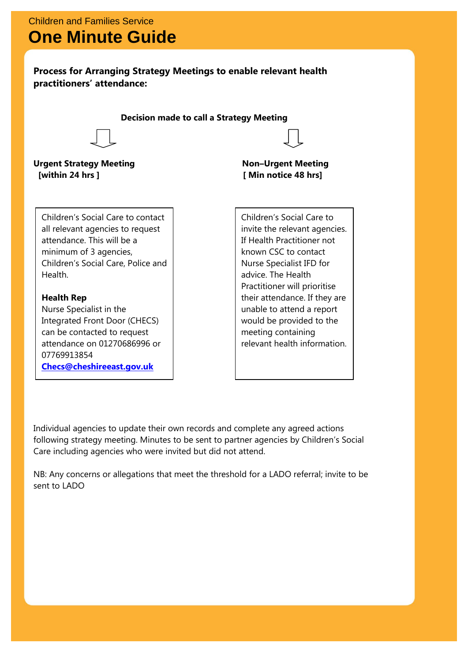### **Process for Arranging Strategy Meetings to enable relevant health practitioners' attendance:**

**Decision made to call a Strategy Meeting**



**Urgent Strategy Meeting Non–Urgent Meeting [within 24 hrs ] [ Min notice 48 hrs]** 

Children's Social Care to contact all relevant agencies to request attendance. This will be a minimum of 3 agencies, Children's Social Care, Police and Health.

### **Health Rep**

 $\overline{\phantom{a}}$ 

Nurse Specialist in the Integrated Front Door (CHECS) can be contacted to request attendance on 01270686996 or 07769913854 **[Checs@cheshireeast.gov.uk](mailto:Checs@cheshireeast.gov.uk)**

Children's Social Care to invite the relevant agencies. If Health Practitioner not known CSC to contact Nurse Specialist IFD for advice. The Health Practitioner will prioritise their attendance. If they are unable to attend a report would be provided to the meeting containing relevant health information.

Individual agencies to update their own records and complete any agreed actions following strategy meeting. Minutes to be sent to partner agencies by Children's Social Care including agencies who were invited but did not attend.

NB: Any concerns or allegations that meet the threshold for a LADO referral; invite to be sent to LADO